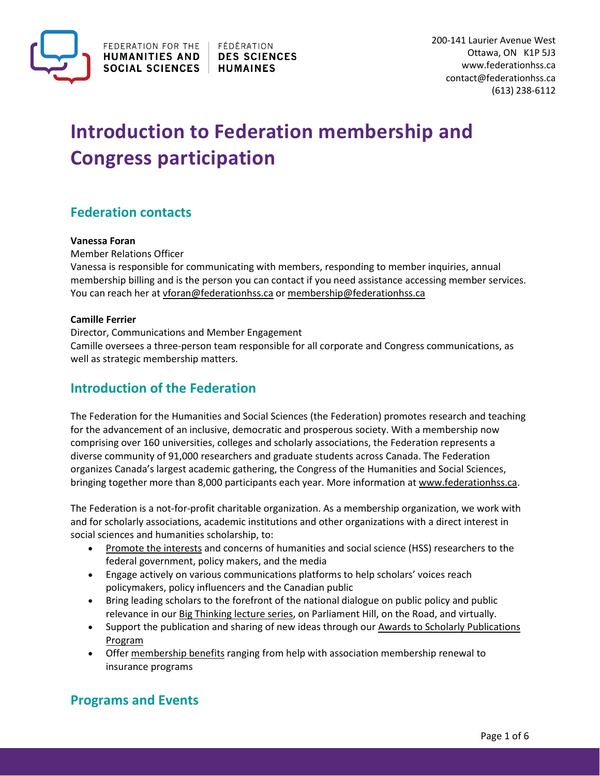

# **Introduction to Federation membership and Congress participation**

# **Federation contacts**

#### **Vanessa Foran**

Member Relations Officer

Vanessa is responsible for communicating with members, responding to member inquiries, annual membership billing and is the person you can contact if you need assistance accessing member services. You can reach her at [vforan@federationhss.ca](mailto:vforan@federationhss.ca) o[r membership@federationhss.ca](mailto:membership@federationhss.ca)

#### **Camille Ferrier**

Director, Communications and Member Engagement Camille oversees a three-person team responsible for all corporate and Congress communications, as well as strategic membership matters.

# **Introduction of the Federation**

The Federation for the Humanities and Social Sciences (the Federation) promotes research and teaching for the advancement of an inclusive, democratic and prosperous society. With a membership now comprising over 160 universities, colleges and scholarly associations, the Federation represents a diverse community of 91,000 researchers and graduate students across Canada. The Federation organizes Canada's largest academic gathering, the Congress of the Humanities and Social Sciences, bringing together more than 8,000 participants each year. More information a[t www.federationhss.ca.](http://www.federationhss.ca/)

The Federation is a not-for-profit charitable organization. As a membership organization, we work with and for scholarly associations, academic institutions and other organizations with a direct interest in social sciences and humanities scholarship, to:

- [Promote the interests](https://www.federationhss.ca/en/programs-policy/advocacy) and concerns of humanities and social science (HSS) researchers to the federal government, policy makers, and the media
- Engage actively on various communications platforms to help scholars' voices reach policymakers, policy influencers and the Canadian public
- Bring leading scholars to the forefront of the national dialogue on public policy and public relevance in our Big Thinking [lecture series,](https://www.federationhss.ca/en/programs-policy/big-thinking) on Parliament Hill, on the Road, and virtually.
- Support the publication and sharing of new ideas through our [Awards to Scholarly](https://www.federationhss.ca/en/programs-policies/aspp) Publications [Program](https://www.federationhss.ca/en/programs-policies/aspp)
- Offer [membership benefits](https://www.federationhss.ca/en/membership/value-proposition) ranging from help with association membership renewal to insurance programs

## **Programs and Events**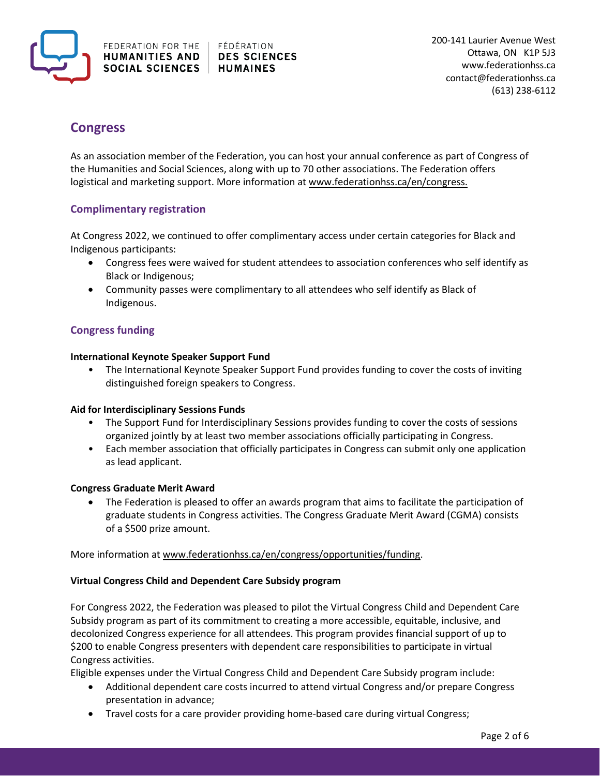

# **Congress**

As an association member of the Federation, you can host your annual conference as part of Congress of the Humanities and Social Sciences, along with up to 70 other associations. The Federation offers logistical and marketing support. More information at [www.federationhss.ca/en/congress.](https://www.federationhss.ca/en/congress/about-congress)

### **Complimentary registration**

At Congress 2022, we continued to offer complimentary access under certain categories for Black and Indigenous participants:

- Congress fees were waived for student attendees to association conferences who self identify as Black or Indigenous;
- Community passes were complimentary to all attendees who self identify as Black of Indigenous.

### **Congress funding**

#### **International Keynote Speaker Support Fund**

• The International Keynote Speaker Support Fund provides funding to cover the costs of inviting distinguished foreign speakers to Congress.

### **Aid for Interdisciplinary Sessions Funds**

- The Support Fund for Interdisciplinary Sessions provides funding to cover the costs of sessions organized jointly by at least two member associations officially participating in Congress.
- Each member association that officially participates in Congress can submit only one application as lead applicant.

### **Congress Graduate Merit Award**

• The Federation is pleased to offer an awards program that aims to facilitate the participation of graduate students in Congress activities. The Congress Graduate Merit Award (CGMA) consists of a \$500 prize amount.

#### More information at [www.federationhss.ca/en/congress/opportunities/funding.](https://www.federationhss.ca/en/congress/opportunities/funding)

#### **Virtual Congress Child and Dependent Care Subsidy program**

For Congress 2022, the Federation was pleased to pilot the Virtual Congress Child and Dependent Care Subsidy program as part of its commitment to creating a more accessible, equitable, inclusive, and decolonized Congress experience for all attendees. This program provides financial support of up to \$200 to enable Congress presenters with dependent care responsibilities to participate in virtual Congress activities.

Eligible expenses under the Virtual Congress Child and Dependent Care Subsidy program include:

- Additional dependent care costs incurred to attend virtual Congress and/or prepare Congress presentation in advance;
- Travel costs for a care provider providing home-based care during virtual Congress;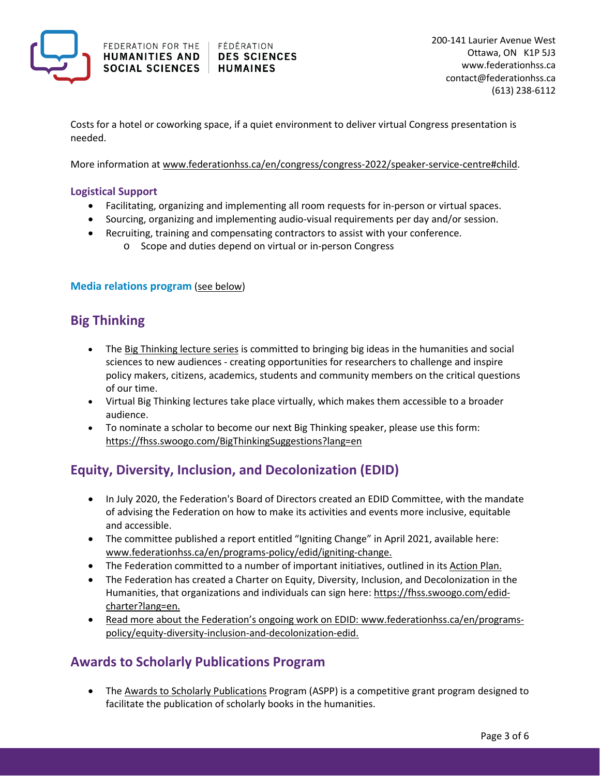

Costs for a hotel or coworking space, if a quiet environment to deliver virtual Congress presentation is needed.

More information at [www.federationhss.ca/en/congress/congress-2022/speaker-service-centre#child.](https://www.federationhss.ca/en/congress/congress-2022/speaker-service-centre#child)

### **Logistical Support**

- Facilitating, organizing and implementing all room requests for in-person or virtual spaces.
- Sourcing, organizing and implementing audio-visual requirements per day and/or session.
- Recruiting, training and compensating contractors to assist with your conference.
	- o Scope and duties depend on virtual or in-person Congress

#### **Media relations program** [\(see below\)](#page-3-0)

## **Big Thinking**

- The [Big Thinking lecture series](https://www.federationhss.ca/en/programs-policy/big-thinking) is committed to bringing big ideas in the humanities and social sciences to new audiences - creating opportunities for researchers to challenge and inspire policy makers, citizens, academics, students and community members on the critical questions of our time.
- Virtual Big Thinking lectures take place virtually, which makes them accessible to a broader audience.
- To nominate a scholar to become our next Big Thinking speaker, please use this form: <https://fhss.swoogo.com/BigThinkingSuggestions?lang=en>

## **Equity, Diversity, Inclusion, and Decolonization (EDID)**

- In July 2020, the Federation's Board of Directors created an EDID Committee, with the mandate of advising the Federation on how to make its activities and events more inclusive, equitable and accessible.
- The committee published a report entitled "Igniting Change" in April 2021, available here: [www.federationhss.ca/en/programs-policy/edid/igniting-change.](https://www.federationhss.ca/en/programs-policy/edid/igniting-change)
- The Federation committed to a number of important initiatives, outlined in its [Action Plan.](https://www.federationhss.ca/sites/default/files/2021-07/federation-action-plan-en.pdf)
- The Federation has created a Charter on Equity, Diversity, Inclusion, and Decolonization in the Humanities, that organizations and individuals can sign here[: https://fhss.swoogo.com/edid](https://fhss.swoogo.com/edid-charter?lang=en)[charter?lang=en.](https://fhss.swoogo.com/edid-charter?lang=en)
- Read more about the Federation's ongoing work on EDID[: www.federationhss.ca/en/programs](https://www.federationhss.ca/en/programs-policy/equity-diversity-inclusion-and-decolonization-edid)[policy/equity-diversity-inclusion-and-decolonization-edid.](https://www.federationhss.ca/en/programs-policy/equity-diversity-inclusion-and-decolonization-edid)

## **Awards to Scholarly Publications Program**

• The [Awards to Scholarly Publications](https://www.federationhss.ca/en/programs-policies/aspp) Program (ASPP) is a competitive grant program designed to facilitate the publication of scholarly books in the humanities.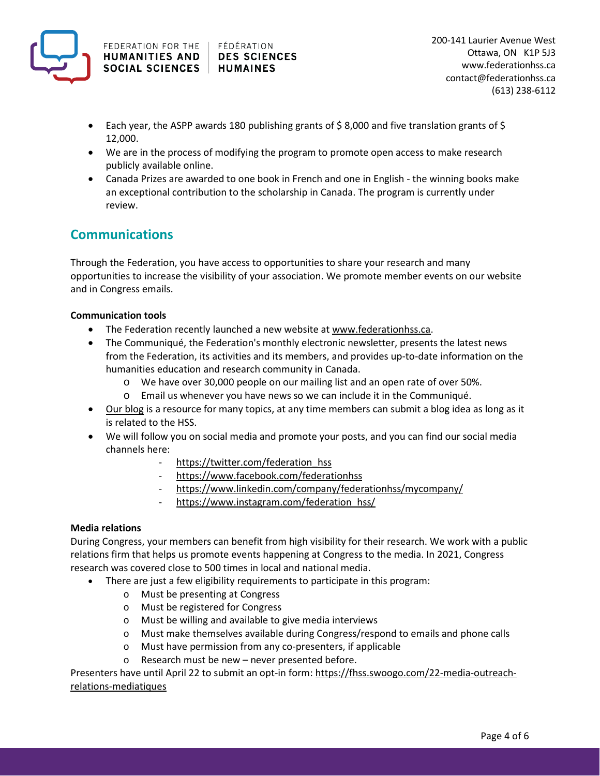

- Each year, the ASPP awards 180 publishing grants of \$8,000 and five translation grants of \$ 12,000.
- We are in the process of modifying the program to promote open access to make research publicly available online.
- Canada Prizes are awarded to one book in French and one in English the winning books make an exceptional contribution to the scholarship in Canada. The program is currently under review.

# **Communications**

Through the Federation, you have access to opportunities to share your research and many opportunities to increase the visibility of your association. We promote member events on our website and in Congress emails.

### **Communication tools**

- The Federation recently launched a new website at [www.federationhss.ca.](http://www.federationhss.ca/)
- The Communiqué, the Federation's monthly electronic newsletter, presents the latest news from the Federation, its activities and its members, and provides up-to-date information on the humanities education and research community in Canada.
	- o We have over 30,000 people on our mailing list and an open rate of over 50%.
	- o Email us whenever you have news so we can include it in the Communiqué.
- [Our blog](https://www.federationhss.ca/en/resources/resource-hub?f%5B0%5D=resource_type%3A1) is a resource for many topics, at any time members can submit a blog idea as long as it is related to the HSS.
- We will follow you on social media and promote your posts, and you can find our social media channels here:
	- https://twitter.com/federation hss
	- <https://www.facebook.com/federationhss>
	- <https://www.linkedin.com/company/federationhss/mycompany/>
	- [https://www.instagram.com/federation\\_hss/](https://www.instagram.com/federation_hss/)

#### <span id="page-3-0"></span>**Media relations**

During Congress, your members can benefit from high visibility for their research. We work with a public relations firm that helps us promote events happening at Congress to the media. In 2021, Congress research was covered close to 500 times in local and national media.

- There are just a few eligibility requirements to participate in this program:
	- o Must be presenting at Congress
	- o Must be registered for Congress
	- o Must be willing and available to give media interviews
	- o Must make themselves available during Congress/respond to emails and phone calls
	- o Must have permission from any co-presenters, if applicable
	- o Research must be new never presented before.

Presenters have until April 22 to submit an opt-in form[: https://fhss.swoogo.com/22-media-outreach](https://fhss.swoogo.com/22-media-outreach-relations-mediatiques)[relations-mediatiques](https://fhss.swoogo.com/22-media-outreach-relations-mediatiques)